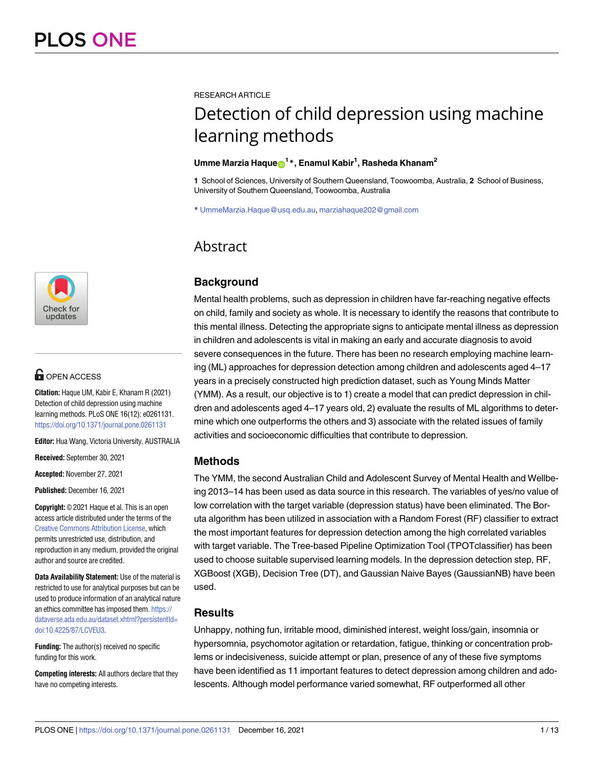

# **G** OPEN ACCESS

**Citation:** Haque UM, Kabir E, Khanam R (2021) Detection of child depression using machine learning methods. PLoS ONE 16(12): e0261131. <https://doi.org/10.1371/journal.pone.0261131>

**Editor:** Hua Wang, Victoria University, AUSTRALIA

**Received:** September 30, 2021

**Accepted:** November 27, 2021

**Published:** December 16, 2021

**Copyright:** © 2021 Haque et al. This is an open access article distributed under the terms of the Creative Commons [Attribution](http://creativecommons.org/licenses/by/4.0/) License, which permits unrestricted use, distribution, and reproduction in any medium, provided the original author and source are credited.

**Data Availability Statement:** Use of the material is restricted to use for analytical purposes but can be used to produce information of an analytical nature an ethics committee has imposed them. [https://](https://dataverse.ada.edu.au/dataset.xhtml?persistentId=doi:10.4225/87/LCVEU3) [dataverse.ada.edu.au/dataset.xhtml?persistentId=](https://dataverse.ada.edu.au/dataset.xhtml?persistentId=doi:10.4225/87/LCVEU3) [doi:10.4225/87/LCVEU3.](https://dataverse.ada.edu.au/dataset.xhtml?persistentId=doi:10.4225/87/LCVEU3)

**Funding:** The author(s) received no specific funding for this work.

**Competing interests:** All authors declare that they have no competing interests.

RESEARCH ARTICLE

# Detection of child depression using machine learning methods

#### $\bm{\mathsf{U}}$ mme Marzia Haque $\bm{\mathsf{\Theta}}^{1\,*}$ , Enamul Kabir<sup>1</sup>, Rasheda Khanam<sup>2</sup>

**1** School of Sciences, University of Southern Queensland, Toowoomba, Australia, **2** School of Business, University of Southern Queensland, Toowoomba, Australia

\* UmmeMarzia.Haque@usq.edu.au, marziahaque202@gmail.com

# Abstract

# **Background**

Mental health problems, such as depression in children have far-reaching negative effects on child, family and society as whole. It is necessary to identify the reasons that contribute to this mental illness. Detecting the appropriate signs to anticipate mental illness as depression in children and adolescents is vital in making an early and accurate diagnosis to avoid severe consequences in the future. There has been no research employing machine learning (ML) approaches for depression detection among children and adolescents aged 4–17 years in a precisely constructed high prediction dataset, such as Young Minds Matter (YMM). As a result, our objective is to 1) create a model that can predict depression in children and adolescents aged 4–17 years old, 2) evaluate the results of ML algorithms to determine which one outperforms the others and 3) associate with the related issues of family activities and socioeconomic difficulties that contribute to depression.

## **Methods**

The YMM, the second Australian Child and Adolescent Survey of Mental Health and Wellbeing 2013–14 has been used as data source in this research. The variables of yes/no value of low correlation with the target variable (depression status) have been eliminated. The Boruta algorithm has been utilized in association with a Random Forest (RF) classifier to extract the most important features for depression detection among the high correlated variables with target variable. The Tree-based Pipeline Optimization Tool (TPOTclassifier) has been used to choose suitable supervised learning models. In the depression detection step, RF, XGBoost (XGB), Decision Tree (DT), and Gaussian Naive Bayes (GaussianNB) have been used.

## **Results**

Unhappy, nothing fun, irritable mood, diminished interest, weight loss/gain, insomnia or hypersomnia, psychomotor agitation or retardation, fatigue, thinking or concentration problems or indecisiveness, suicide attempt or plan, presence of any of these five symptoms have been identified as 11 important features to detect depression among children and adolescents. Although model performance varied somewhat, RF outperformed all other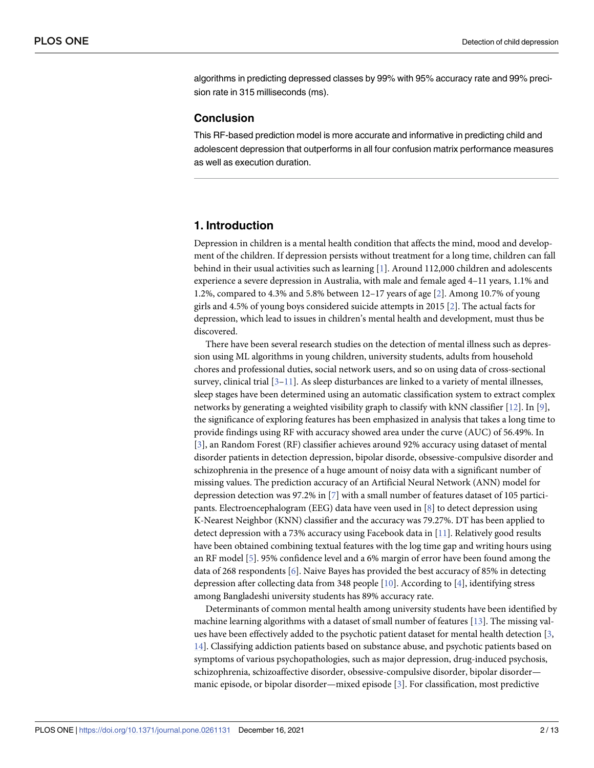<span id="page-1-0"></span>algorithms in predicting depressed classes by 99% with 95% accuracy rate and 99% precision rate in 315 milliseconds (ms).

#### **Conclusion**

This RF-based prediction model is more accurate and informative in predicting child and adolescent depression that outperforms in all four confusion matrix performance measures as well as execution duration.

#### **1. Introduction**

Depression in children is a mental health condition that affects the mind, mood and development of the children. If depression persists without treatment for a long time, children can fall behind in their usual activities such as learning [\[1](#page-10-0)]. Around 112,000 children and adolescents experience a severe depression in Australia, with male and female aged 4–11 years, 1.1% and 1.2%, compared to 4.3% and 5.8% between 12–17 years of age [\[2\]](#page-10-0). Among 10.7% of young girls and 4.5% of young boys considered suicide attempts in 2015 [[2\]](#page-10-0). The actual facts for depression, which lead to issues in children's mental health and development, must thus be discovered.

There have been several research studies on the detection of mental illness such as depression using ML algorithms in young children, university students, adults from household chores and professional duties, social network users, and so on using data of cross-sectional survey, clinical trial  $[3-11]$  $[3-11]$  $[3-11]$ . As sleep disturbances are linked to a variety of mental illnesses, sleep stages have been determined using an automatic classification system to extract complex networks by generating a weighted visibility graph to classify with kNN classifier [[12](#page-11-0)]. In [\[9](#page-10-0)], the significance of exploring features has been emphasized in analysis that takes a long time to provide findings using RF with accuracy showed area under the curve (AUC) of 56.49%. In [\[3](#page-10-0)], an Random Forest (RF) classifier achieves around 92% accuracy using dataset of mental disorder patients in detection depression, bipolar disorde, obsessive-compulsive disorder and schizophrenia in the presence of a huge amount of noisy data with a significant number of missing values. The prediction accuracy of an Artificial Neural Network (ANN) model for depression detection was 97.2% in [[7](#page-10-0)] with a small number of features dataset of 105 participants. Electroencephalogram (EEG) data have veen used in [\[8](#page-10-0)] to detect depression using K-Nearest Neighbor (KNN) classifier and the accuracy was 79.27%. DT has been applied to detect depression with a 73% accuracy using Facebook data in [[11](#page-11-0)]. Relatively good results have been obtained combining textual features with the log time gap and writing hours using an RF model [[5](#page-10-0)]. 95% confidence level and a 6% margin of error have been found among the data of 268 respondents [\[6\]](#page-10-0). Naive Bayes has provided the best accuracy of 85% in detecting depression after collecting data from 348 people [[10](#page-10-0)]. According to [\[4](#page-10-0)], identifying stress among Bangladeshi university students has 89% accuracy rate.

Determinants of common mental health among university students have been identified by machine learning algorithms with a dataset of small number of features [\[13\]](#page-11-0). The missing values have been effectively added to the psychotic patient dataset for mental health detection [\[3,](#page-10-0) [14\]](#page-11-0). Classifying addiction patients based on substance abuse, and psychotic patients based on symptoms of various psychopathologies, such as major depression, drug-induced psychosis, schizophrenia, schizoaffective disorder, obsessive-compulsive disorder, bipolar disorder manic episode, or bipolar disorder—mixed episode [\[3](#page-10-0)]. For classification, most predictive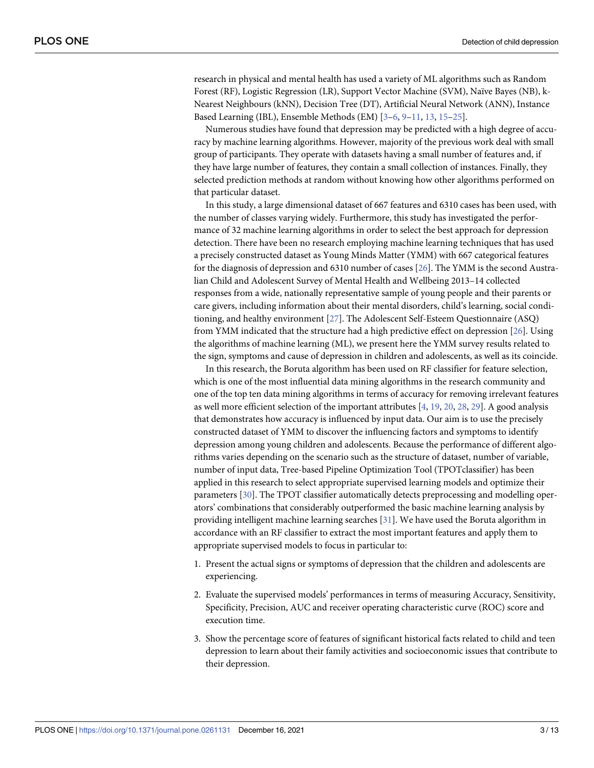<span id="page-2-0"></span>research in physical and mental health has used a variety of ML algorithms such as Random Forest (RF), Logistic Regression (LR), Support Vector Machine (SVM), Naïve Bayes (NB), k-Nearest Neighbours (kNN), Decision Tree (DT), Artificial Neural Network (ANN), Instance Based Learning (IBL), Ensemble Methods (EM) [\[3–6,](#page-10-0) [9](#page-10-0)[–11,](#page-11-0) [13,](#page-11-0) [15–25](#page-11-0)].

Numerous studies have found that depression may be predicted with a high degree of accuracy by machine learning algorithms. However, majority of the previous work deal with small group of participants. They operate with datasets having a small number of features and, if they have large number of features, they contain a small collection of instances. Finally, they selected prediction methods at random without knowing how other algorithms performed on that particular dataset.

In this study, a large dimensional dataset of 667 features and 6310 cases has been used, with the number of classes varying widely. Furthermore, this study has investigated the performance of 32 machine learning algorithms in order to select the best approach for depression detection. There have been no research employing machine learning techniques that has used a precisely constructed dataset as Young Minds Matter (YMM) with 667 categorical features for the diagnosis of depression and 6310 number of cases [\[26\]](#page-11-0). The YMM is the second Australian Child and Adolescent Survey of Mental Health and Wellbeing 2013–14 collected responses from a wide, nationally representative sample of young people and their parents or care givers, including information about their mental disorders, child's learning, social conditioning, and healthy environment [[27](#page-11-0)]. The Adolescent Self-Esteem Questionnaire (ASQ) from YMM indicated that the structure had a high predictive effect on depression [\[26\]](#page-11-0). Using the algorithms of machine learning (ML), we present here the YMM survey results related to the sign, symptoms and cause of depression in children and adolescents, as well as its coincide.

In this research, the Boruta algorithm has been used on RF classifier for feature selection, which is one of the most influential data mining algorithms in the research community and one of the top ten data mining algorithms in terms of accuracy for removing irrelevant features as well more efficient selection of the important attributes [[4](#page-10-0), [19](#page-11-0), [20](#page-11-0), [28](#page-11-0), [29](#page-11-0)]. A good analysis that demonstrates how accuracy is influenced by input data. Our aim is to use the precisely constructed dataset of YMM to discover the influencing factors and symptoms to identify depression among young children and adolescents. Because the performance of different algorithms varies depending on the scenario such as the structure of dataset, number of variable, number of input data, Tree-based Pipeline Optimization Tool (TPOTclassifier) has been applied in this research to select appropriate supervised learning models and optimize their parameters [\[30\]](#page-11-0). The TPOT classifier automatically detects preprocessing and modelling operators' combinations that considerably outperformed the basic machine learning analysis by providing intelligent machine learning searches [[31](#page-11-0)]. We have used the Boruta algorithm in accordance with an RF classifier to extract the most important features and apply them to appropriate supervised models to focus in particular to:

- 1. Present the actual signs or symptoms of depression that the children and adolescents are experiencing.
- 2. Evaluate the supervised models' performances in terms of measuring Accuracy, Sensitivity, Specificity, Precision, AUC and receiver operating characteristic curve (ROC) score and execution time.
- 3. Show the percentage score of features of significant historical facts related to child and teen depression to learn about their family activities and socioeconomic issues that contribute to their depression.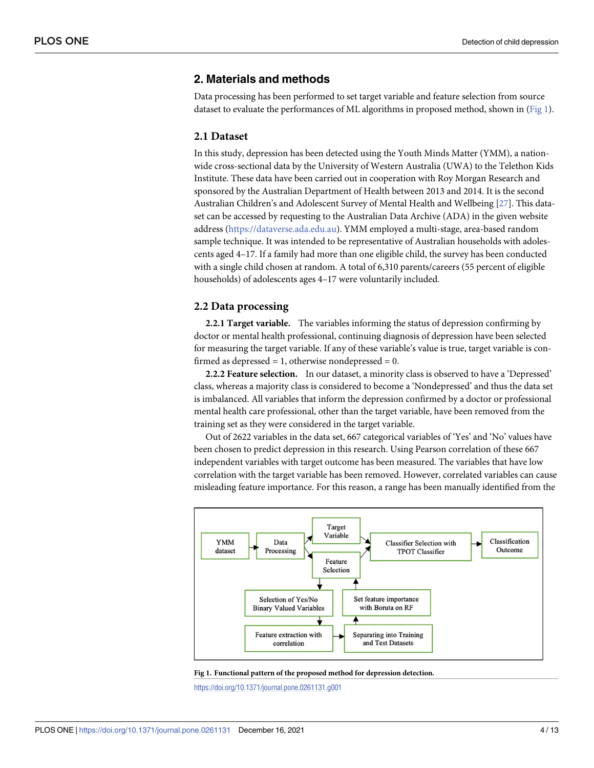#### **2. Materials and methods**

Data processing has been performed to set target variable and feature selection from source dataset to evaluate the performances of ML algorithms in proposed method, shown in (Fig 1).

#### **2.1 Dataset**

In this study, depression has been detected using the Youth Minds Matter (YMM), a nationwide cross-sectional data by the University of Western Australia (UWA) to the Telethon Kids Institute. These data have been carried out in cooperation with Roy Morgan Research and sponsored by the Australian Department of Health between 2013 and 2014. It is the second Australian Children's and Adolescent Survey of Mental Health and Wellbeing [[27](#page-11-0)]. This dataset can be accessed by requesting to the Australian Data Archive (ADA) in the given website address ([https://dataverse.ada.edu.au\)](https://dataverse.ada.edu.au/). YMM employed a multi-stage, area-based random sample technique. It was intended to be representative of Australian households with adolescents aged 4–17. If a family had more than one eligible child, the survey has been conducted with a single child chosen at random. A total of 6,310 parents/careers (55 percent of eligible households) of adolescents ages 4–17 were voluntarily included.

#### **2.2 Data processing**

**2.2.1 Target variable.** The variables informing the status of depression confirming by doctor or mental health professional, continuing diagnosis of depression have been selected for measuring the target variable. If any of these variable's value is true, target variable is confirmed as depressed  $= 1$ , otherwise nondepressed  $= 0$ .

**2.2.2 Feature selection.** In our dataset, a minority class is observed to have a 'Depressed' class, whereas a majority class is considered to become a 'Nondepressed' and thus the data set is imbalanced. All variables that inform the depression confirmed by a doctor or professional mental health care professional, other than the target variable, have been removed from the training set as they were considered in the target variable.

Out of 2622 variables in the data set, 667 categorical variables of 'Yes' and 'No' values have been chosen to predict depression in this research. Using Pearson correlation of these 667 independent variables with target outcome has been measured. The variables that have low correlation with the target variable has been removed. However, correlated variables can cause misleading feature importance. For this reason, a range has been manually identified from the



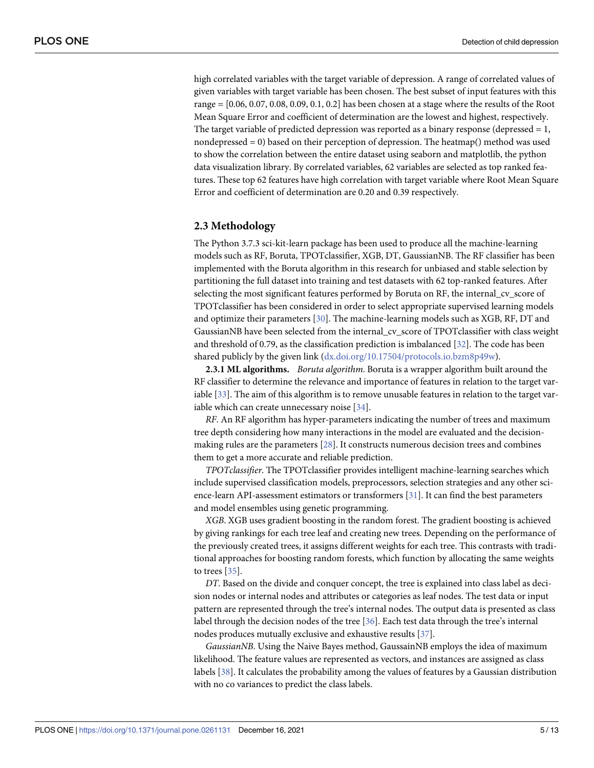<span id="page-4-0"></span>high correlated variables with the target variable of depression. A range of correlated values of given variables with target variable has been chosen. The best subset of input features with this range = [0.06, 0.07, 0.08, 0.09, 0.1, 0.2] has been chosen at a stage where the results of the Root Mean Square Error and coefficient of determination are the lowest and highest, respectively. The target variable of predicted depression was reported as a binary response (depressed  $= 1$ , nondepressed  $= 0$ ) based on their perception of depression. The heatmap() method was used to show the correlation between the entire dataset using seaborn and matplotlib, the python data visualization library. By correlated variables, 62 variables are selected as top ranked features. These top 62 features have high correlation with target variable where Root Mean Square Error and coefficient of determination are 0.20 and 0.39 respectively.

#### **2.3 Methodology**

The Python 3.7.3 sci-kit-learn package has been used to produce all the machine-learning models such as RF, Boruta, TPOTclassifier, XGB, DT, GaussianNB. The RF classifier has been implemented with the Boruta algorithm in this research for unbiased and stable selection by partitioning the full dataset into training and test datasets with 62 top-ranked features. After selecting the most significant features performed by Boruta on RF, the internal\_cv\_score of TPOTclassifier has been considered in order to select appropriate supervised learning models and optimize their parameters [[30](#page-11-0)]. The machine-learning models such as XGB, RF, DT and GaussianNB have been selected from the internal\_cv\_score of TPOTclassifier with class weight and threshold of 0.79, as the classification prediction is imbalanced [[32](#page-11-0)]. The code has been shared publicly by the given link [\(dx.doi.org/10.17504/protocols.io.bzm8p49w\)](https://dx.doi.org/10.17504/protocols.io.bzm8p49w).

**2.3.1 ML algorithms.** *Boruta algorithm*. Boruta is a wrapper algorithm built around the RF classifier to determine the relevance and importance of features in relation to the target var-iable [\[33\]](#page-11-0). The aim of this algorithm is to remove unusable features in relation to the target variable which can create unnecessary noise [\[34\]](#page-12-0).

*RF*. An RF algorithm has hyper-parameters indicating the number of trees and maximum tree depth considering how many interactions in the model are evaluated and the decisionmaking rules are the parameters [\[28\]](#page-11-0). It constructs numerous decision trees and combines them to get a more accurate and reliable prediction.

*TPOTclassifier*. The TPOTclassifier provides intelligent machine-learning searches which include supervised classification models, preprocessors, selection strategies and any other science-learn API-assessment estimators or transformers [\[31\]](#page-11-0). It can find the best parameters and model ensembles using genetic programming.

*XGB*. XGB uses gradient boosting in the random forest. The gradient boosting is achieved by giving rankings for each tree leaf and creating new trees. Depending on the performance of the previously created trees, it assigns different weights for each tree. This contrasts with traditional approaches for boosting random forests, which function by allocating the same weights to trees [[35](#page-12-0)].

*DT*. Based on the divide and conquer concept, the tree is explained into class label as decision nodes or internal nodes and attributes or categories as leaf nodes. The test data or input pattern are represented through the tree's internal nodes. The output data is presented as class label through the decision nodes of the tree [[36](#page-12-0)]. Each test data through the tree's internal nodes produces mutually exclusive and exhaustive results [\[37\]](#page-12-0).

*GaussianNB*. Using the Naive Bayes method, GaussainNB employs the idea of maximum likelihood. The feature values are represented as vectors, and instances are assigned as class labels [[38](#page-12-0)]. It calculates the probability among the values of features by a Gaussian distribution with no co variances to predict the class labels.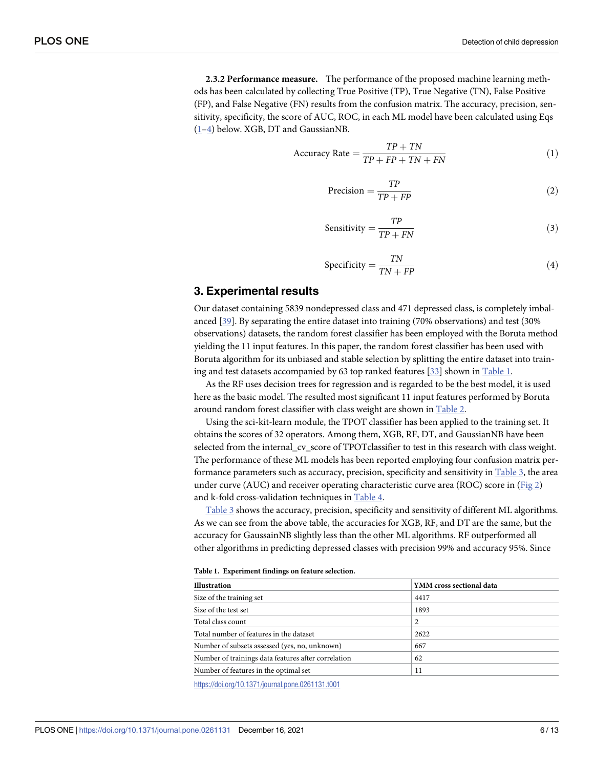<span id="page-5-0"></span>**2.3.2 Performance measure.** The performance of the proposed machine learning methods has been calculated by collecting True Positive (TP), True Negative (TN), False Positive (FP), and False Negative (FN) results from the confusion matrix. The accuracy, precision, sensitivity, specificity, the score of AUC, ROC, in each ML model have been calculated using Eqs (1–4) below. XGB, DT and GaussianNB.

$$
Accuracy Rate = \frac{TP + TN}{TP + FP + TN + FN}
$$
 (1)

$$
Precision = \frac{TP}{TP + FP}
$$
 (2)

$$
Sensitivity = \frac{TP}{TP + FN}
$$
 (3)

$$
Specificity = \frac{TN}{TN + FP}
$$
 (4)

#### **3. Experimental results**

Our dataset containing 5839 nondepressed class and 471 depressed class, is completely imbalanced [\[39\]](#page-12-0). By separating the entire dataset into training (70% observations) and test (30% observations) datasets, the random forest classifier has been employed with the Boruta method yielding the 11 input features. In this paper, the random forest classifier has been used with Boruta algorithm for its unbiased and stable selection by splitting the entire dataset into training and test datasets accompanied by 63 top ranked features [\[33\]](#page-11-0) shown in Table 1.

As the RF uses decision trees for regression and is regarded to be the best model, it is used here as the basic model. The resulted most significant 11 input features performed by Boruta around random forest classifier with class weight are shown in [Table](#page-6-0) 2.

Using the sci-kit-learn module, the TPOT classifier has been applied to the training set. It obtains the scores of 32 operators. Among them, XGB, RF, DT, and GaussianNB have been selected from the internal\_cv\_score of TPOTclassifier to test in this research with class weight. The performance of these ML models has been reported employing four confusion matrix per-formance parameters such as accuracy, precision, specificity and sensitivity in [Table](#page-6-0) 3, the area under curve (AUC) and receiver operating characteristic curve area (ROC) score in [\(Fig](#page-7-0) 2) and k-fold cross-validation techniques in [Table](#page-7-0) 4.

[Table](#page-6-0) 3 shows the accuracy, precision, specificity and sensitivity of different ML algorithms. As we can see from the above table, the accuracies for XGB, RF, and DT are the same, but the accuracy for GaussainNB slightly less than the other ML algorithms. RF outperformed all other algorithms in predicting depressed classes with precision 99% and accuracy 95%. Since

|  |  |  | Table 1. Experiment findings on feature selection. |
|--|--|--|----------------------------------------------------|
|--|--|--|----------------------------------------------------|

| <b>Illustration</b>                                 | YMM cross sectional data |  |  |
|-----------------------------------------------------|--------------------------|--|--|
| Size of the training set                            | 4417                     |  |  |
| Size of the test set                                | 1893                     |  |  |
| Total class count                                   | 2                        |  |  |
| Total number of features in the dataset             | 2622                     |  |  |
| Number of subsets assessed (yes, no, unknown)       | 667                      |  |  |
| Number of trainings data features after correlation | 62                       |  |  |
| Number of features in the optimal set               | 11                       |  |  |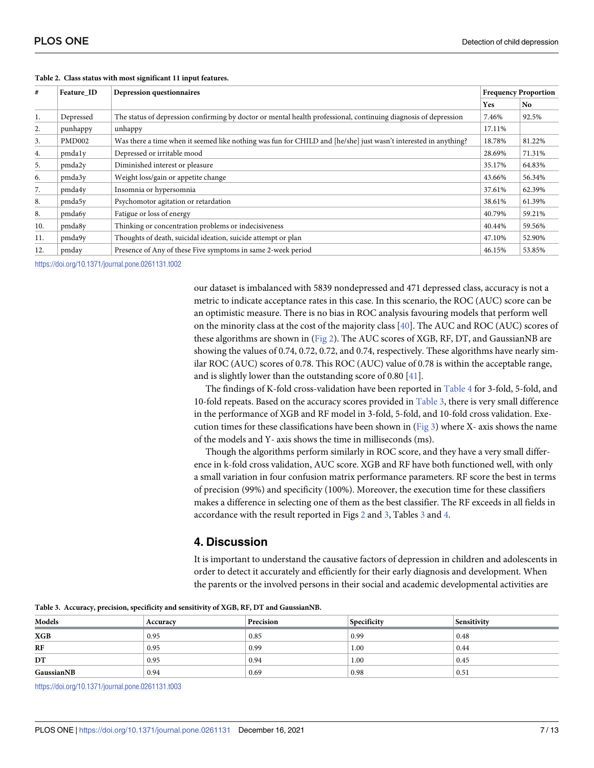| #   | Feature ID         | Depression questionnaires                                                                                       |        | <b>Frequency Proportion</b> |  |
|-----|--------------------|-----------------------------------------------------------------------------------------------------------------|--------|-----------------------------|--|
|     |                    |                                                                                                                 | Yes    | No.                         |  |
| 1.  | Depressed          | The status of depression confirming by doctor or mental health professional, continuing diagnosis of depression | 7.46%  | 92.5%                       |  |
| 2.  | punhappy           | unhappy                                                                                                         | 17.11% |                             |  |
| 3.  | PMD <sub>002</sub> | Was there a time when it seemed like nothing was fun for CHILD and [he/she] just wasn't interested in anything? | 18.78% | 81.22%                      |  |
| 4.  | pmdaly             | Depressed or irritable mood                                                                                     | 28.69% | 71.31%                      |  |
| 5.  | pmda2y             | Diminished interest or pleasure                                                                                 | 35.17% | 64.83%                      |  |
| 6.  | pmda3y             | Weight loss/gain or appetite change                                                                             | 43.66% | 56.34%                      |  |
| 7.  | pmda4y             | Insomnia or hypersomnia                                                                                         | 37.61% | 62.39%                      |  |
| 8.  | pmda5y             | Psychomotor agitation or retardation                                                                            | 38.61% | 61.39%                      |  |
| 8.  | pmda6y             | Fatigue or loss of energy                                                                                       | 40.79% | 59.21%                      |  |
| 10. | pmda8y             | Thinking or concentration problems or indecisiveness                                                            | 40.44% | 59.56%                      |  |
| 11. | pmda9y             | Thoughts of death, suicidal ideation, suicide attempt or plan                                                   | 47.10% | 52.90%                      |  |
| 12. | pmday              | Presence of Any of these Five symptoms in same 2-week period                                                    | 46.15% | 53.85%                      |  |

<span id="page-6-0"></span>**[Table](#page-5-0) 2. Class status with most significant 11 input features.**

<https://doi.org/10.1371/journal.pone.0261131.t002>

our dataset is imbalanced with 5839 nondepressed and 471 depressed class, accuracy is not a metric to indicate acceptance rates in this case. In this scenario, the ROC (AUC) score can be an optimistic measure. There is no bias in ROC analysis favouring models that perform well on the minority class at the cost of the majority class [[40](#page-12-0)]. The AUC and ROC (AUC) scores of these algorithms are shown in [\(Fig](#page-7-0) 2). The AUC scores of XGB, RF, DT, and GaussianNB are showing the values of 0.74, 0.72, 0.72, and 0.74, respectively. These algorithms have nearly similar ROC (AUC) scores of 0.78. This ROC (AUC) value of 0.78 is within the acceptable range, and is slightly lower than the outstanding score of 0.80 [[41\]](#page-12-0).

The findings of K-fold cross-validation have been reported in [Table](#page-7-0) 4 for 3-fold, 5-fold, and 10-fold repeats. Based on the accuracy scores provided in Table 3, there is very small difference in the performance of XGB and RF model in 3-fold, 5-fold, and 10-fold cross validation. Exe-cution times for these classifications have been shown in [\(Fig](#page-8-0) 3) where X- axis shows the name of the models and Y- axis shows the time in milliseconds (ms).

Though the algorithms perform similarly in ROC score, and they have a very small difference in k-fold cross validation, AUC score. XGB and RF have both functioned well, with only a small variation in four confusion matrix performance parameters. RF score the best in terms of precision (99%) and specificity (100%). Moreover, the execution time for these classifiers makes a difference in selecting one of them as the best classifier. The RF exceeds in all fields in accordance with the result reported in Figs [2](#page-7-0) and [3,](#page-8-0) Tables 3 and [4](#page-7-0).

## **4. Discussion**

It is important to understand the causative factors of depression in children and adolescents in order to detect it accurately and efficiently for their early diagnosis and development. When the parents or the involved persons in their social and academic developmental activities are

**[Table](#page-5-0) 3. Accuracy, precision, specificity and sensitivity of XGB, RF, DT and GaussianNB.**

| Models     | Accuracy | Precision | <b>Specificity</b> | Sensitivity |  |  |  |
|------------|----------|-----------|--------------------|-------------|--|--|--|
| XGB        | 0.95     | 0.85      | 0.99               | 0.48        |  |  |  |
| RF         | 0.95     | 0.99      | 1.00               | 0.44        |  |  |  |
| DT         | 0.95     | 0.94      | 1.00               | 0.45        |  |  |  |
| GaussianNB | 0.94     | 0.69      | 0.98               | 0.51        |  |  |  |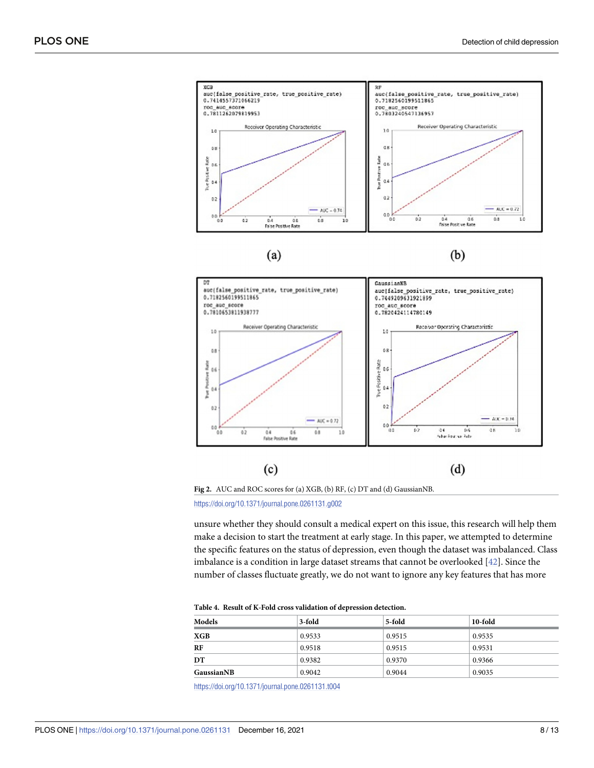<span id="page-7-0"></span>



**[Fig](#page-5-0) 2.** AUC and ROC scores for (a) XGB, (b) RF, (c) DT and (d) GaussianNB.

<https://doi.org/10.1371/journal.pone.0261131.g002>

unsure whether they should consult a medical expert on this issue, this research will help them make a decision to start the treatment at early stage. In this paper, we attempted to determine the specific features on the status of depression, even though the dataset was imbalanced. Class imbalance is a condition in large dataset streams that cannot be overlooked [[42](#page-12-0)]. Since the number of classes fluctuate greatly, we do not want to ignore any key features that has more

| Table 4. Result of K-Fold cross validation of depression detection. |  |
|---------------------------------------------------------------------|--|
|---------------------------------------------------------------------|--|

| Models     | 3-fold | 5-fold | 10-fold |
|------------|--------|--------|---------|
| XGB        | 0.9533 | 0.9515 | 0.9535  |
| RF         | 0.9518 | 0.9515 | 0.9531  |
| DT         | 0.9382 | 0.9370 | 0.9366  |
| GaussianNB | 0.9042 | 0.9044 | 0.9035  |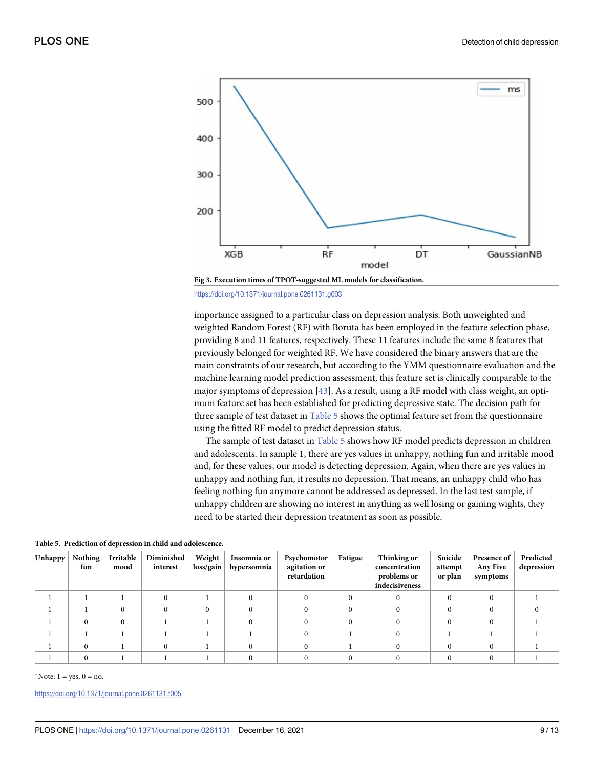<span id="page-8-0"></span>

<https://doi.org/10.1371/journal.pone.0261131.g003>

importance assigned to a particular class on depression analysis. Both unweighted and weighted Random Forest (RF) with Boruta has been employed in the feature selection phase, providing 8 and 11 features, respectively. These 11 features include the same 8 features that previously belonged for weighted RF. We have considered the binary answers that are the main constraints of our research, but according to the YMM questionnaire evaluation and the machine learning model prediction assessment, this feature set is clinically comparable to the major symptoms of depression [\[43\]](#page-12-0). As a result, using a RF model with class weight, an optimum feature set has been established for predicting depressive state. The decision path for three sample of test dataset in Table 5 shows the optimal feature set from the questionnaire using the fitted RF model to predict depression status.

The sample of test dataset in Table 5 shows how RF model predicts depression in children and adolescents. In sample 1, there are yes values in unhappy, nothing fun and irritable mood and, for these values, our model is detecting depression. Again, when there are yes values in unhappy and nothing fun, it results no depression. That means, an unhappy child who has feeling nothing fun anymore cannot be addressed as depressed. In the last test sample, if unhappy children are showing no interest in anything as well losing or gaining wights, they need to be started their depression treatment as soon as possible.

| Unhappy | Nothing<br>fun | Irritable<br>mood | Diminished<br>interest | Weight<br>loss/gain | Insomnia or<br>hypersomnia | Psychomotor<br>agitation or<br>retardation | Fatigue  | Thinking or<br>concentration<br>problems or<br>indecisiveness | Suicide<br>attempt<br>or plan | Presence of<br><b>Any Five</b><br>symptoms | Predicted<br>depression |
|---------|----------------|-------------------|------------------------|---------------------|----------------------------|--------------------------------------------|----------|---------------------------------------------------------------|-------------------------------|--------------------------------------------|-------------------------|
|         |                |                   |                        |                     |                            |                                            | $\Omega$ |                                                               |                               |                                            |                         |
|         |                |                   |                        | $\Omega$            |                            |                                            | $\Omega$ |                                                               |                               |                                            |                         |
|         | 0              | $\Omega$          |                        |                     |                            |                                            | $\Omega$ |                                                               |                               |                                            |                         |
|         |                |                   |                        |                     |                            |                                            |          |                                                               |                               |                                            |                         |
|         | $\theta$       |                   |                        |                     |                            |                                            |          |                                                               |                               |                                            |                         |
|         |                |                   |                        |                     |                            |                                            | 0        |                                                               |                               |                                            |                         |

**Table 5. Prediction of depression in child and adolescence.**

\*Note:  $1 = yes$ ,  $0 = no$ .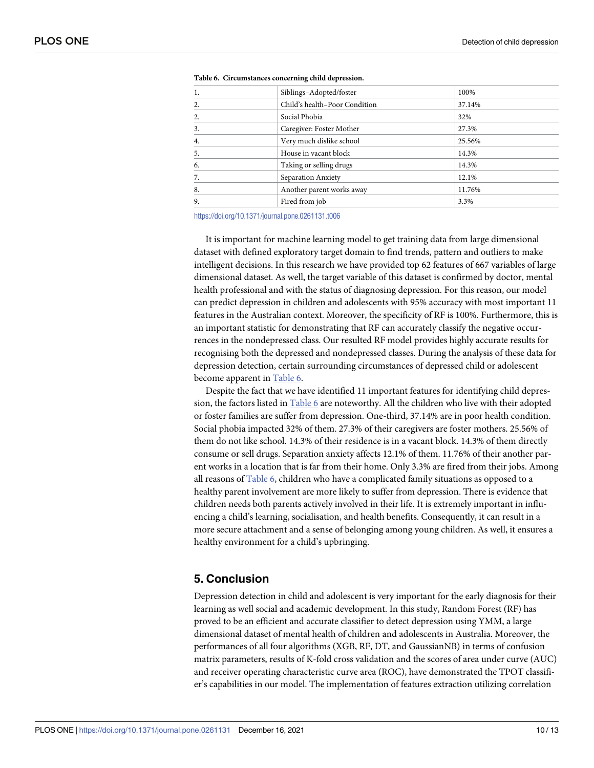| 1. | Siblings-Adopted/foster       | 100%   |
|----|-------------------------------|--------|
| 2. | Child's health-Poor Condition | 37.14% |
| 2. | Social Phobia                 | 32%    |
| 3. | Caregiver: Foster Mother      | 27.3%  |
| 4. | Very much dislike school      | 25.56% |
| 5. | House in vacant block         | 14.3%  |
| 6. | Taking or selling drugs       | 14.3%  |
| 7. | Separation Anxiety            | 12.1%  |
| 8. | Another parent works away     | 11.76% |
| 9. | Fired from job                | 3.3%   |
|    |                               |        |

**Table 6. Circumstances concerning child depression.**

<https://doi.org/10.1371/journal.pone.0261131.t006>

It is important for machine learning model to get training data from large dimensional dataset with defined exploratory target domain to find trends, pattern and outliers to make intelligent decisions. In this research we have provided top 62 features of 667 variables of large dimensional dataset. As well, the target variable of this dataset is confirmed by doctor, mental health professional and with the status of diagnosing depression. For this reason, our model can predict depression in children and adolescents with 95% accuracy with most important 11 features in the Australian context. Moreover, the specificity of RF is 100%. Furthermore, this is an important statistic for demonstrating that RF can accurately classify the negative occurrences in the nondepressed class. Our resulted RF model provides highly accurate results for recognising both the depressed and nondepressed classes. During the analysis of these data for depression detection, certain surrounding circumstances of depressed child or adolescent become apparent in Table 6.

Despite the fact that we have identified 11 important features for identifying child depression, the factors listed in Table 6 are noteworthy. All the children who live with their adopted or foster families are suffer from depression. One-third, 37.14% are in poor health condition. Social phobia impacted 32% of them. 27.3% of their caregivers are foster mothers. 25.56% of them do not like school. 14.3% of their residence is in a vacant block. 14.3% of them directly consume or sell drugs. Separation anxiety affects 12.1% of them. 11.76% of their another parent works in a location that is far from their home. Only 3.3% are fired from their jobs. Among all reasons of Table 6, children who have a complicated family situations as opposed to a healthy parent involvement are more likely to suffer from depression. There is evidence that children needs both parents actively involved in their life. It is extremely important in influencing a child's learning, socialisation, and health benefits. Consequently, it can result in a more secure attachment and a sense of belonging among young children. As well, it ensures a healthy environment for a child's upbringing.

#### **5. Conclusion**

Depression detection in child and adolescent is very important for the early diagnosis for their learning as well social and academic development. In this study, Random Forest (RF) has proved to be an efficient and accurate classifier to detect depression using YMM, a large dimensional dataset of mental health of children and adolescents in Australia. Moreover, the performances of all four algorithms (XGB, RF, DT, and GaussianNB) in terms of confusion matrix parameters, results of K-fold cross validation and the scores of area under curve (AUC) and receiver operating characteristic curve area (ROC), have demonstrated the TPOT classifier's capabilities in our model. The implementation of features extraction utilizing correlation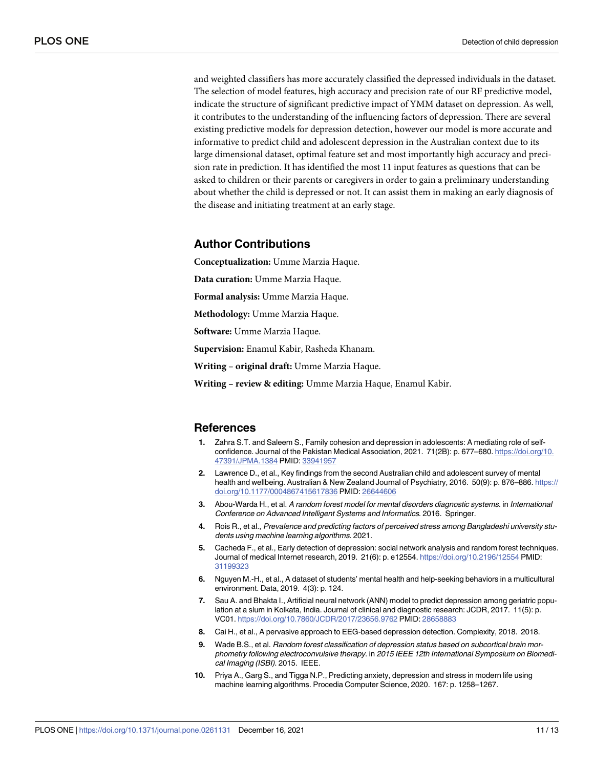<span id="page-10-0"></span>and weighted classifiers has more accurately classified the depressed individuals in the dataset. The selection of model features, high accuracy and precision rate of our RF predictive model, indicate the structure of significant predictive impact of YMM dataset on depression. As well, it contributes to the understanding of the influencing factors of depression. There are several existing predictive models for depression detection, however our model is more accurate and informative to predict child and adolescent depression in the Australian context due to its large dimensional dataset, optimal feature set and most importantly high accuracy and precision rate in prediction. It has identified the most 11 input features as questions that can be asked to children or their parents or caregivers in order to gain a preliminary understanding about whether the child is depressed or not. It can assist them in making an early diagnosis of the disease and initiating treatment at an early stage.

#### **Author Contributions**

**Conceptualization:** Umme Marzia Haque.

**Data curation:** Umme Marzia Haque.

**Formal analysis:** Umme Marzia Haque.

**Methodology:** Umme Marzia Haque.

**Software:** Umme Marzia Haque.

**Supervision:** Enamul Kabir, Rasheda Khanam.

**Writing – original draft:** Umme Marzia Haque.

**Writing – review & editing:** Umme Marzia Haque, Enamul Kabir.

#### **References**

- **[1](#page-1-0).** Zahra S.T. and Saleem S., Family cohesion and depression in adolescents: A mediating role of selfconfidence. Journal of the Pakistan Medical Association, 2021. 71(2B): p. 677–680. [https://doi.org/10.](https://doi.org/10.47391/JPMA.1384) [47391/JPMA.1384](https://doi.org/10.47391/JPMA.1384) PMID: [33941957](http://www.ncbi.nlm.nih.gov/pubmed/33941957)
- **[2](#page-1-0).** Lawrence D., et al., Key findings from the second Australian child and adolescent survey of mental health and wellbeing. Australian & New Zealand Journal of Psychiatry, 2016. 50(9): p. 876–886. [https://](https://doi.org/10.1177/0004867415617836) [doi.org/10.1177/0004867415617836](https://doi.org/10.1177/0004867415617836) PMID: [26644606](http://www.ncbi.nlm.nih.gov/pubmed/26644606)
- **[3](#page-1-0).** Abou-Warda H., et al. A random forest model for mental disorders diagnostic systems. in International Conference on Advanced Intelligent Systems and Informatics. 2016. Springer.
- **[4](#page-1-0).** Rois R., et al., Prevalence and predicting factors of perceived stress among Bangladeshi university students using machine learning algorithms. 2021.
- **[5](#page-1-0).** Cacheda F., et al., Early detection of depression: social network analysis and random forest techniques. Journal of medical Internet research, 2019. 21(6): p. e12554. <https://doi.org/10.2196/12554> PMID: [31199323](http://www.ncbi.nlm.nih.gov/pubmed/31199323)
- **[6](#page-1-0).** Nguyen M.-H., et al., A dataset of students' mental health and help-seeking behaviors in a multicultural environment. Data, 2019. 4(3): p. 124.
- **[7](#page-1-0).** Sau A. and Bhakta I., Artificial neural network (ANN) model to predict depression among geriatric population at a slum in Kolkata, India. Journal of clinical and diagnostic research: JCDR, 2017. 11(5): p. VC01. <https://doi.org/10.7860/JCDR/2017/23656.9762> PMID: [28658883](http://www.ncbi.nlm.nih.gov/pubmed/28658883)
- **[8](#page-1-0).** Cai H., et al., A pervasive approach to EEG-based depression detection. Complexity, 2018. 2018.
- **[9](#page-1-0).** Wade B.S., et al. Random forest classification of depression status based on subcortical brain morphometry following electroconvulsive therapy. in 2015 IEEE 12th International Symposium on Biomedical Imaging (ISBI). 2015. IEEE.
- **[10](#page-1-0).** Priya A., Garg S., and Tigga N.P., Predicting anxiety, depression and stress in modern life using machine learning algorithms. Procedia Computer Science, 2020. 167: p. 1258–1267.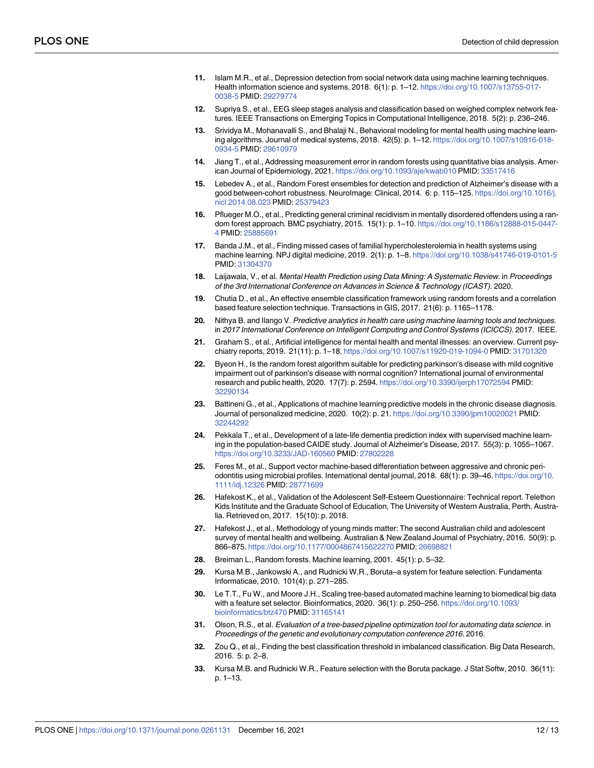- <span id="page-11-0"></span>**[11](#page-1-0).** Islam M.R., et al., Depression detection from social network data using machine learning techniques. Health information science and systems, 2018. 6(1): p. 1–12. [https://doi.org/10.1007/s13755-017-](https://doi.org/10.1007/s13755-017-0038-5) [0038-5](https://doi.org/10.1007/s13755-017-0038-5) PMID: [29279774](http://www.ncbi.nlm.nih.gov/pubmed/29279774)
- **[12](#page-1-0).** Supriya S., et al., EEG sleep stages analysis and classification based on weighed complex network features. IEEE Transactions on Emerging Topics in Computational Intelligence, 2018. 5(2): p. 236–246.
- **[13](#page-1-0).** Srividya M., Mohanavalli S., and Bhalaji N., Behavioral modeling for mental health using machine learning algorithms. Journal of medical systems, 2018. 42(5): p. 1–12. [https://doi.org/10.1007/s10916-018-](https://doi.org/10.1007/s10916-018-0934-5) [0934-5](https://doi.org/10.1007/s10916-018-0934-5) PMID: [29610979](http://www.ncbi.nlm.nih.gov/pubmed/29610979)
- **[14](#page-1-0).** Jiang T., et al., Addressing measurement error in random forests using quantitative bias analysis. American Journal of Epidemiology, 2021. <https://doi.org/10.1093/aje/kwab010> PMID: [33517416](http://www.ncbi.nlm.nih.gov/pubmed/33517416)
- **[15](#page-2-0).** Lebedev A., et al., Random Forest ensembles for detection and prediction of Alzheimer's disease with a good between-cohort robustness. NeuroImage: Clinical, 2014. 6: p. 115-125. [https://doi.org/10.1016/j.](https://doi.org/10.1016/j.nicl.2014.08.023) [nicl.2014.08.023](https://doi.org/10.1016/j.nicl.2014.08.023) PMID: [25379423](http://www.ncbi.nlm.nih.gov/pubmed/25379423)
- **16.** Pflueger M.O., et al., Predicting general criminal recidivism in mentally disordered offenders using a random forest approach. BMC psychiatry, 2015. 15(1): p. 1–10. [https://doi.org/10.1186/s12888-015-0447-](https://doi.org/10.1186/s12888-015-0447-4) [4](https://doi.org/10.1186/s12888-015-0447-4) PMID: [25885691](http://www.ncbi.nlm.nih.gov/pubmed/25885691)
- **17.** Banda J.M., et al., Finding missed cases of familial hypercholesterolemia in health systems using machine learning. NPJ digital medicine, 2019. 2(1): p. 1–8. <https://doi.org/10.1038/s41746-019-0101-5> PMID: [31304370](http://www.ncbi.nlm.nih.gov/pubmed/31304370)
- **18.** Laijawala, V., et al. Mental Health Prediction using Data Mining: A Systematic Review. in Proceedings of the 3rd International Conference on Advances in Science & Technology (ICAST). 2020.
- **[19](#page-2-0).** Chutia D., et al., An effective ensemble classification framework using random forests and a correlation based feature selection technique. Transactions in GIS, 2017. 21(6): p. 1165–1178.
- **[20](#page-2-0).** Nithya B. and Ilango V. Predictive analytics in health care using machine learning tools and techniques. in 2017 International Conference on Intelligent Computing and Control Systems (ICICCS). 2017. IEEE.
- **21.** Graham S., et al., Artificial intelligence for mental health and mental illnesses: an overview. Current psychiatry reports, 2019. 21(11): p. 1–18. <https://doi.org/10.1007/s11920-019-1094-0> PMID: [31701320](http://www.ncbi.nlm.nih.gov/pubmed/31701320)
- **22.** Byeon H., Is the random forest algorithm suitable for predicting parkinson's disease with mild cognitive impairment out of parkinson's disease with normal cognition? International journal of environmental research and public health, 2020. 17(7): p. 2594. <https://doi.org/10.3390/ijerph17072594> PMID: [32290134](http://www.ncbi.nlm.nih.gov/pubmed/32290134)
- **23.** Battineni G., et al., Applications of machine learning predictive models in the chronic disease diagnosis. Journal of personalized medicine, 2020. 10(2): p. 21. <https://doi.org/10.3390/jpm10020021> PMID: [32244292](http://www.ncbi.nlm.nih.gov/pubmed/32244292)
- **24.** Pekkala T., et al., Development of a late-life dementia prediction index with supervised machine learning in the population-based CAIDE study. Journal of Alzheimer's Disease, 2017. 55(3): p. 1055–1067. <https://doi.org/10.3233/JAD-160560> PMID: [27802228](http://www.ncbi.nlm.nih.gov/pubmed/27802228)
- **[25](#page-2-0).** Feres M., et al., Support vector machine-based differentiation between aggressive and chronic periodontitis using microbial profiles. International dental journal, 2018. 68(1): p. 39–46. [https://doi.org/10.](https://doi.org/10.1111/idj.12326) [1111/idj.12326](https://doi.org/10.1111/idj.12326) PMID: [28771699](http://www.ncbi.nlm.nih.gov/pubmed/28771699)
- **[26](#page-2-0).** Hafekost K., et al., Validation of the Adolescent Self-Esteem Questionnaire: Technical report. Telethon Kids Institute and the Graduate School of Education, The University of Western Australia, Perth, Australia. Retrieved on, 2017. 15(10): p. 2018.
- **[27](#page-2-0).** Hafekost J., et al., Methodology of young minds matter: The second Australian child and adolescent survey of mental health and wellbeing. Australian & New Zealand Journal of Psychiatry, 2016. 50(9): p. 866–875. <https://doi.org/10.1177/0004867415622270> PMID: [26698821](http://www.ncbi.nlm.nih.gov/pubmed/26698821)
- **[28](#page-2-0).** Breiman L., Random forests. Machine learning, 2001. 45(1): p. 5–32.
- **[29](#page-2-0).** Kursa M.B., Jankowski A., and Rudnicki W.R., Boruta–a system for feature selection. Fundamenta Informaticae, 2010. 101(4): p. 271–285.
- **[30](#page-2-0).** Le T.T., Fu W., and Moore J.H., Scaling tree-based automated machine learning to biomedical big data with a feature set selector. Bioinformatics, 2020. 36(1): p. 250–256. [https://doi.org/10.1093/](https://doi.org/10.1093/bioinformatics/btz470) [bioinformatics/btz470](https://doi.org/10.1093/bioinformatics/btz470) PMID: [31165141](http://www.ncbi.nlm.nih.gov/pubmed/31165141)
- **[31](#page-2-0).** Olson, R.S., et al. Evaluation of a tree-based pipeline optimization tool for automating data science. in Proceedings of the genetic and evolutionary computation conference 2016. 2016.
- **[32](#page-4-0).** Zou Q., et al., Finding the best classification threshold in imbalanced classification. Big Data Research, 2016. 5: p. 2–8.
- **[33](#page-4-0).** Kursa M.B. and Rudnicki W.R., Feature selection with the Boruta package. J Stat Softw, 2010. 36(11): p. 1–13.